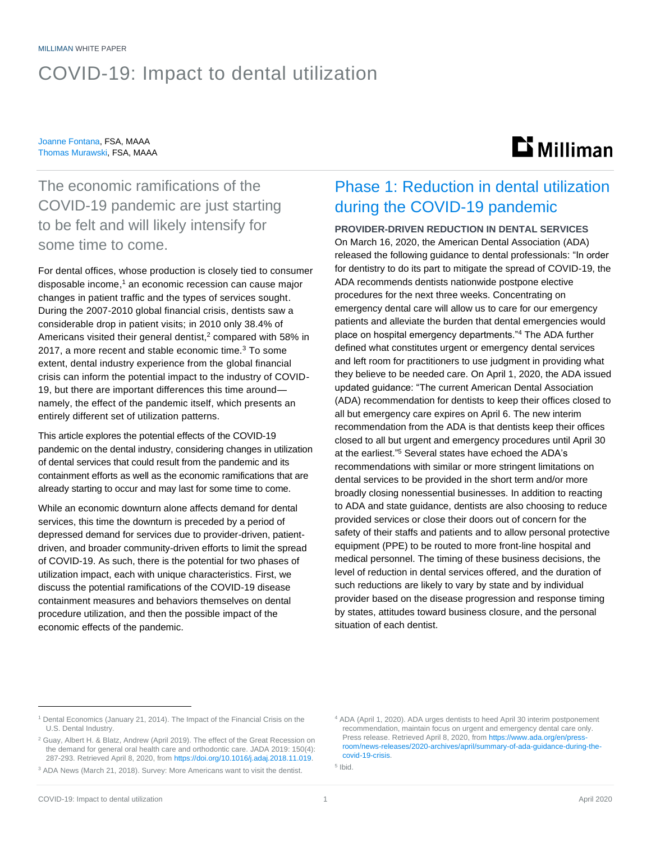# COVID-19: Impact to dental utilization

#### Joanne Fontana, FSA, MAAA Thomas Murawski, FSA, MAAA

# **Li** Milliman

The economic ramifications of the COVID-19 pandemic are just starting to be felt and will likely intensify for some time to come.

For dental offices, whose production is closely tied to consumer disposable income, <sup>1</sup> an economic recession can cause major changes in patient traffic and the types of services sought. During the 2007-2010 global financial crisis, dentists saw a considerable drop in patient visits; in 2010 only 38.4% of Americans visited their general dentist, <sup>2</sup> compared with 58% in 2017, a more recent and stable economic time.<sup>3</sup> To some extent, dental industry experience from the global financial crisis can inform the potential impact to the industry of COVID-19, but there are important differences this time around namely, the effect of the pandemic itself, which presents an entirely different set of utilization patterns.

This article explores the potential effects of the COVID-19 pandemic on the dental industry, considering changes in utilization of dental services that could result from the pandemic and its containment efforts as well as the economic ramifications that are already starting to occur and may last for some time to come.

While an economic downturn alone affects demand for dental services, this time the downturn is preceded by a period of depressed demand for services due to provider-driven, patientdriven, and broader community-driven efforts to limit the spread of COVID-19. As such, there is the potential for two phases of utilization impact, each with unique characteristics. First, we discuss the potential ramifications of the COVID-19 disease containment measures and behaviors themselves on dental procedure utilization, and then the possible impact of the economic effects of the pandemic.

## Phase 1: Reduction in dental utilization during the COVID-19 pandemic

### **PROVIDER-DRIVEN REDUCTION IN DENTAL SERVICES**

On March 16, 2020, the American Dental Association (ADA) released the following guidance to dental professionals: "In order for dentistry to do its part to mitigate the spread of COVID-19, the ADA recommends dentists nationwide postpone elective procedures for the next three weeks. Concentrating on emergency dental care will allow us to care for our emergency patients and alleviate the burden that dental emergencies would place on hospital emergency departments."<sup>4</sup> The ADA further defined what constitutes urgent or emergency dental services and left room for practitioners to use judgment in providing what they believe to be needed care. On April 1, 2020, the ADA issued updated guidance: "The current American Dental Association (ADA) recommendation for dentists to keep their offices closed to all but emergency care expires on April 6. The new interim recommendation from the ADA is that dentists keep their offices closed to all but urgent and emergency procedures until April 30 at the earliest." <sup>5</sup> Several states have echoed the ADA's recommendations with similar or more stringent limitations on dental services to be provided in the short term and/or more broadly closing nonessential businesses. In addition to reacting to ADA and state guidance, dentists are also choosing to reduce provided services or close their doors out of concern for the safety of their staffs and patients and to allow personal protective equipment (PPE) to be routed to more front-line hospital and medical personnel. The timing of these business decisions, the level of reduction in dental services offered, and the duration of such reductions are likely to vary by state and by individual provider based on the disease progression and response timing by states, attitudes toward business closure, and the personal situation of each dentist.

5 Ibid.

<sup>&</sup>lt;sup>1</sup> Dental Economics (January 21, 2014). The Impact of the Financial Crisis on the U.S. Dental Industry.

<sup>2</sup> Guay, Albert H. & Blatz, Andrew (April 2019). The effect of the Great Recession on the demand for general oral health care and orthodontic care. JADA 2019: 150(4): 287-293. Retrieved April 8, 2020, from [https://doi.org/10.1016/j.adaj.2018.11.019.](https://doi.org/10.1016/j.adaj.2018.11.019)

<sup>3</sup> ADA News (March 21, 2018). Survey: More Americans want to visit the dentist.

<sup>4</sup> ADA (April 1, 2020). ADA urges dentists to heed April 30 interim postponement recommendation, maintain focus on urgent and emergency dental care only. Press release. Retrieved April 8, 2020, from [https://www.ada.org/en/press](https://www.ada.org/en/press-room/news-releases/2020-archives/april/summary-of-ada-guidance-during-the-covid-19-crisis)[room/news-releases/2020-archives/april/summary-of-ada-guidance-during-the](https://www.ada.org/en/press-room/news-releases/2020-archives/april/summary-of-ada-guidance-during-the-covid-19-crisis)[covid-19-crisis.](https://www.ada.org/en/press-room/news-releases/2020-archives/april/summary-of-ada-guidance-during-the-covid-19-crisis)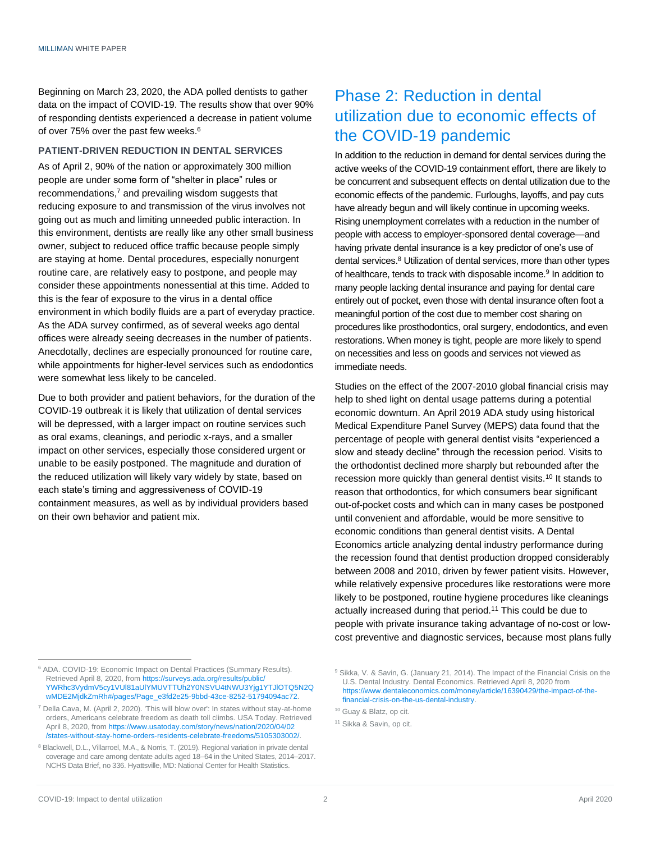Beginning on March 23, 2020, the ADA polled dentists to gather data on the impact of COVID-19. The results show that over 90% of responding dentists experienced a decrease in patient volume of over 75% over the past few weeks.<sup>6</sup>

#### **PATIENT-DRIVEN REDUCTION IN DENTAL SERVICES**

As of April 2, 90% of the nation or approximately 300 million people are under some form of "shelter in place" rules or recommendations, <sup>7</sup> and prevailing wisdom suggests that reducing exposure to and transmission of the virus involves not going out as much and limiting unneeded public interaction. In this environment, dentists are really like any other small business owner, subject to reduced office traffic because people simply are staying at home. Dental procedures, especially nonurgent routine care, are relatively easy to postpone, and people may consider these appointments nonessential at this time. Added to this is the fear of exposure to the virus in a dental office environment in which bodily fluids are a part of everyday practice. As the ADA survey confirmed, as of several weeks ago dental offices were already seeing decreases in the number of patients. Anecdotally, declines are especially pronounced for routine care, while appointments for higher-level services such as endodontics were somewhat less likely to be canceled.

Due to both provider and patient behaviors, for the duration of the COVID-19 outbreak it is likely that utilization of dental services will be depressed, with a larger impact on routine services such as oral exams, cleanings, and periodic x-rays, and a smaller impact on other services, especially those considered urgent or unable to be easily postponed. The magnitude and duration of the reduced utilization will likely vary widely by state, based on each state's timing and aggressiveness of COVID-19 containment measures, as well as by individual providers based on their own behavior and patient mix.

## Phase 2: Reduction in dental utilization due to economic effects of the COVID-19 pandemic

In addition to the reduction in demand for dental services during the active weeks of the COVID-19 containment effort, there are likely to be concurrent and subsequent effects on dental utilization due to the economic effects of the pandemic. Furloughs, layoffs, and pay cuts have already begun and will likely continue in upcoming weeks. Rising unemployment correlates with a reduction in the number of people with access to employer-sponsored dental coverage—and having private dental insurance is a key predictor of one's use of dental services.<sup>8</sup> Utilization of dental services, more than other types of healthcare, tends to track with disposable income.<sup>9</sup> In addition to many people lacking dental insurance and paying for dental care entirely out of pocket, even those with dental insurance often foot a meaningful portion of the cost due to member cost sharing on procedures like prosthodontics, oral surgery, endodontics, and even restorations. When money is tight, people are more likely to spend on necessities and less on goods and services not viewed as immediate needs.

Studies on the effect of the 2007-2010 global financial crisis may help to shed light on dental usage patterns during a potential economic downturn. An April 2019 ADA study using historical Medical Expenditure Panel Survey (MEPS) data found that the percentage of people with general dentist visits "experienced a slow and steady decline" through the recession period. Visits to the orthodontist declined more sharply but rebounded after the recession more quickly than general dentist visits.<sup>10</sup> It stands to reason that orthodontics, for which consumers bear significant out-of-pocket costs and which can in many cases be postponed until convenient and affordable, would be more sensitive to economic conditions than general dentist visits. A Dental Economics article analyzing dental industry performance during the recession found that dentist production dropped considerably between 2008 and 2010, driven by fewer patient visits. However, while relatively expensive procedures like restorations were more likely to be postponed, routine hygiene procedures like cleanings actually increased during that period.<sup>11</sup> This could be due to people with private insurance taking advantage of no-cost or lowcost preventive and diagnostic services, because most plans fully

<sup>6</sup> ADA. COVID-19: Economic Impact on Dental Practices (Summary Results). Retrieved April 8, 2020, fro[m https://surveys.ada.org/results/public/](https://surveys.ada.org/results/public/YWRhc3VydmV5cy1VUl81aUlYMUVTTUh2Y0NSVU4tNWU3Yjg1YTJlOTQ5N2QwMDE2MjdkZmRh#/pages/Page_e3fd2e25-9bbd-43ce-8252-51794094ac72) [YWRhc3VydmV5cy1VUl81aUlYMUVTTUh2Y0NSVU4tNWU3Yjg1YTJlOTQ5N2Q](https://surveys.ada.org/results/public/YWRhc3VydmV5cy1VUl81aUlYMUVTTUh2Y0NSVU4tNWU3Yjg1YTJlOTQ5N2QwMDE2MjdkZmRh#/pages/Page_e3fd2e25-9bbd-43ce-8252-51794094ac72) [wMDE2MjdkZmRh#/pages/Page\\_e3fd2e25-9bbd-43ce-8252-51794094ac72.](https://surveys.ada.org/results/public/YWRhc3VydmV5cy1VUl81aUlYMUVTTUh2Y0NSVU4tNWU3Yjg1YTJlOTQ5N2QwMDE2MjdkZmRh#/pages/Page_e3fd2e25-9bbd-43ce-8252-51794094ac72)

<sup>7</sup> Della Cava, M. (April 2, 2020). 'This will blow over': In states without stay-at-home orders, Americans celebrate freedom as death toll climbs. USA Today. Retrieved April 8, 2020, fro[m https://www.usatoday.com/story/news/nation/2020/04/02](https://www.usatoday.com/story/news/nation/2020/04/02/states-without-stay-home-orders-residents-celebrate-freedoms/5105303002/) [/states-without-stay-home-orders-residents-celebrate-freedoms/5105303002/.](https://www.usatoday.com/story/news/nation/2020/04/02/states-without-stay-home-orders-residents-celebrate-freedoms/5105303002/)

<sup>&</sup>lt;sup>8</sup> Blackwell, D.L., Villarroel, M.A., & Norris, T. (2019). Regional variation in private dental coverage and care among dentate adults aged 18–64 in the United States, 2014–2017. NCHS Data Brief, no 336. Hyattsville, MD: National Center for Health Statistics.

<sup>&</sup>lt;sup>9</sup> Sikka, V. & Savin, G. (January 21, 2014). The Impact of the Financial Crisis on the U.S. Dental Industry. Dental Economics. Retrieved April 8, 2020 from [https://www.dentaleconomics.com/money/article/16390429/the-impact-of-the](https://www.dentaleconomics.com/money/article/16390429/the-impact-of-the-financial-crisis-on-the-us-dental-industry)[financial-crisis-on-the-us-dental-industry.](https://www.dentaleconomics.com/money/article/16390429/the-impact-of-the-financial-crisis-on-the-us-dental-industry)

<sup>10</sup> Guay & Blatz, op cit.

<sup>11</sup> Sikka & Savin, op cit.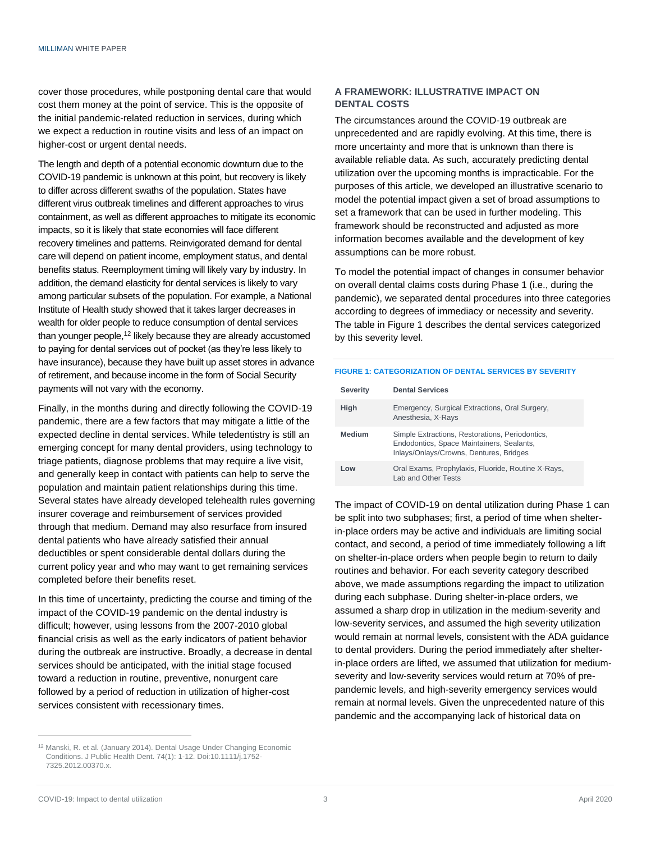cover those procedures, while postponing dental care that would cost them money at the point of service. This is the opposite of the initial pandemic-related reduction in services, during which we expect a reduction in routine visits and less of an impact on higher-cost or urgent dental needs.

The length and depth of a potential economic downturn due to the COVID-19 pandemic is unknown at this point, but recovery is likely to differ across different swaths of the population. States have different virus outbreak timelines and different approaches to virus containment, as well as different approaches to mitigate its economic impacts, so it is likely that state economies will face different recovery timelines and patterns. Reinvigorated demand for dental care will depend on patient income, employment status, and dental benefits status. Reemployment timing will likely vary by industry. In addition, the demand elasticity for dental services is likely to vary among particular subsets of the population. For example, a National Institute of Health study showed that it takes larger decreases in wealth for older people to reduce consumption of dental services than younger people,<sup>12</sup> likely because they are already accustomed to paying for dental services out of pocket (as they're less likely to have insurance), because they have built up asset stores in advance of retirement, and because income in the form of Social Security payments will not vary with the economy.

Finally, in the months during and directly following the COVID-19 pandemic, there are a few factors that may mitigate a little of the expected decline in dental services. While teledentistry is still an emerging concept for many dental providers, using technology to triage patients, diagnose problems that may require a live visit, and generally keep in contact with patients can help to serve the population and maintain patient relationships during this time. Several states have already developed telehealth rules governing insurer coverage and reimbursement of services provided through that medium. Demand may also resurface from insured dental patients who have already satisfied their annual deductibles or spent considerable dental dollars during the current policy year and who may want to get remaining services completed before their benefits reset.

In this time of uncertainty, predicting the course and timing of the impact of the COVID-19 pandemic on the dental industry is difficult; however, using lessons from the 2007-2010 global financial crisis as well as the early indicators of patient behavior during the outbreak are instructive. Broadly, a decrease in dental services should be anticipated, with the initial stage focused toward a reduction in routine, preventive, nonurgent care followed by a period of reduction in utilization of higher-cost services consistent with recessionary times.

### **A FRAMEWORK: ILLUSTRATIVE IMPACT ON DENTAL COSTS**

The circumstances around the COVID-19 outbreak are unprecedented and are rapidly evolving. At this time, there is more uncertainty and more that is unknown than there is available reliable data. As such, accurately predicting dental utilization over the upcoming months is impracticable. For the purposes of this article, we developed an illustrative scenario to model the potential impact given a set of broad assumptions to set a framework that can be used in further modeling. This framework should be reconstructed and adjusted as more information becomes available and the development of key assumptions can be more robust.

To model the potential impact of changes in consumer behavior on overall dental claims costs during Phase 1 (i.e., during the pandemic), we separated dental procedures into three categories according to degrees of immediacy or necessity and severity. The table in Figure 1 describes the dental services categorized by this severity level.

#### **FIGURE 1: CATEGORIZATION OF DENTAL SERVICES BY SEVERITY**

| <b>Severity</b> | <b>Dental Services</b>                                                                                                                  |
|-----------------|-----------------------------------------------------------------------------------------------------------------------------------------|
| High            | Emergency, Surgical Extractions, Oral Surgery,<br>Anesthesia, X-Rays                                                                    |
| <b>Medium</b>   | Simple Extractions, Restorations, Periodontics,<br>Endodontics, Space Maintainers, Sealants,<br>Inlays/Onlays/Crowns, Dentures, Bridges |
| Low             | Oral Exams, Prophylaxis, Fluoride, Routine X-Rays,<br>Lab and Other Tests                                                               |

The impact of COVID-19 on dental utilization during Phase 1 can be split into two subphases; first, a period of time when shelterin-place orders may be active and individuals are limiting social contact, and second, a period of time immediately following a lift on shelter-in-place orders when people begin to return to daily routines and behavior. For each severity category described above, we made assumptions regarding the impact to utilization during each subphase. During shelter-in-place orders, we assumed a sharp drop in utilization in the medium-severity and low-severity services, and assumed the high severity utilization would remain at normal levels, consistent with the ADA guidance to dental providers. During the period immediately after shelterin-place orders are lifted, we assumed that utilization for mediumseverity and low-severity services would return at 70% of prepandemic levels, and high-severity emergency services would remain at normal levels. Given the unprecedented nature of this pandemic and the accompanying lack of historical data on

<sup>&</sup>lt;sup>12</sup> Manski, R. et al. (January 2014). Dental Usage Under Changing Economic Conditions. J Public Health Dent. 74(1): 1-12. Doi:10.1111/j.1752- 7325.2012.00370.x.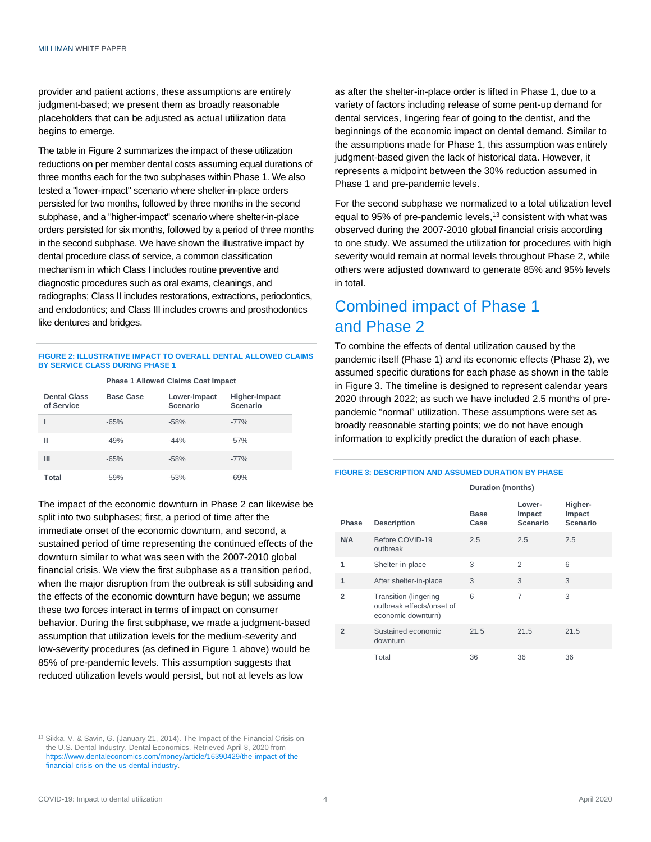provider and patient actions, these assumptions are entirely judgment-based; we present them as broadly reasonable placeholders that can be adjusted as actual utilization data begins to emerge.

The table in Figure 2 summarizes the impact of these utilization reductions on per member dental costs assuming equal durations of three months each for the two subphases within Phase 1. We also tested a "lower-impact" scenario where shelter-in-place orders persisted for two months, followed by three months in the second subphase, and a "higher-impact" scenario where shelter-in-place orders persisted for six months, followed by a period of three months in the second subphase. We have shown the illustrative impact by dental procedure class of service, a common classification mechanism in which Class I includes routine preventive and diagnostic procedures such as oral exams, cleanings, and radiographs; Class II includes restorations, extractions, periodontics, and endodontics; and Class III includes crowns and prosthodontics like dentures and bridges.

#### **FIGURE 2: ILLUSTRATIVE IMPACT TO OVERALL DENTAL ALLOWED CLAIMS BY SERVICE CLASS DURING PHASE 1 Phase 1 Allowed Claims Cost Impact**

| <b>I Hase I Allowed Gialins Cost Impact</b> |                  |                          |                           |  |  |  |
|---------------------------------------------|------------------|--------------------------|---------------------------|--|--|--|
| <b>Dental Class</b><br>of Service           | <b>Base Case</b> | Lower-Impact<br>Scenario | Higher-Impact<br>Scenario |  |  |  |
|                                             | $-65%$           | $-58%$                   | $-77%$                    |  |  |  |
| Ш                                           | $-49%$           | $-44%$                   | $-57%$                    |  |  |  |
| Ш                                           | $-65%$           | $-58%$                   | $-77%$                    |  |  |  |
| Total                                       | $-59%$           | $-53%$                   | $-69%$                    |  |  |  |

The impact of the economic downturn in Phase 2 can likewise be split into two subphases; first, a period of time after the immediate onset of the economic downturn, and second, a sustained period of time representing the continued effects of the downturn similar to what was seen with the 2007-2010 global financial crisis. We view the first subphase as a transition period, when the major disruption from the outbreak is still subsiding and the effects of the economic downturn have begun; we assume these two forces interact in terms of impact on consumer behavior. During the first subphase, we made a judgment-based assumption that utilization levels for the medium-severity and low-severity procedures (as defined in Figure 1 above) would be 85% of pre-pandemic levels. This assumption suggests that reduced utilization levels would persist, but not at levels as low

<sup>13</sup> Sikka, V. & Savin, G. (January 21, 2014). The Impact of the Financial Crisis on the U.S. Dental Industry. Dental Economics. Retrieved April 8, 2020 from [https://www.dentaleconomics.com/money/article/16390429/the-impact-of-the](https://www.dentaleconomics.com/money/article/16390429/the-impact-of-the-financial-crisis-on-the-us-dental-industry)[financial-crisis-on-the-us-dental-industry.](https://www.dentaleconomics.com/money/article/16390429/the-impact-of-the-financial-crisis-on-the-us-dental-industry)

as after the shelter-in-place order is lifted in Phase 1, due to a variety of factors including release of some pent-up demand for dental services, lingering fear of going to the dentist, and the beginnings of the economic impact on dental demand. Similar to the assumptions made for Phase 1, this assumption was entirely judgment-based given the lack of historical data. However, it represents a midpoint between the 30% reduction assumed in Phase 1 and pre-pandemic levels.

For the second subphase we normalized to a total utilization level equal to 95% of pre-pandemic levels, <sup>13</sup> consistent with what was observed during the 2007-2010 global financial crisis according to one study. We assumed the utilization for procedures with high severity would remain at normal levels throughout Phase 2, while others were adjusted downward to generate 85% and 95% levels in total.

### Combined impact of Phase 1 and Phase 2

To combine the effects of dental utilization caused by the pandemic itself (Phase 1) and its economic effects (Phase 2), we assumed specific durations for each phase as shown in the table in Figure 3. The timeline is designed to represent calendar years 2020 through 2022; as such we have included 2.5 months of prepandemic "normal" utilization. These assumptions were set as broadly reasonable starting points; we do not have enough information to explicitly predict the duration of each phase.

#### **FIGURE 3: DESCRIPTION AND ASSUMED DURATION BY PHASE**

**Duration (months)**

| Phase          | <b>Description</b>                                                              | Base<br>Case | Lower-<br>Impact<br>Scenario | Higher-<br>Impact<br>Scenario |
|----------------|---------------------------------------------------------------------------------|--------------|------------------------------|-------------------------------|
| N/A            | Before COVID-19<br>outbreak                                                     | 2.5          | 2.5                          | 2.5                           |
| 1              | Shelter-in-place                                                                | 3            | $\mathfrak{D}$               | 6                             |
| 1              | After shelter-in-place                                                          | 3            | 3                            | 3                             |
| $\overline{2}$ | <b>Transition (lingering</b><br>outbreak effects/onset of<br>economic downturn) | 6            | 7                            | 3                             |
| $\overline{2}$ | Sustained economic<br>downturn                                                  | 21.5         | 21.5                         | 21.5                          |
|                | Total                                                                           | 36           | 36                           | 36                            |